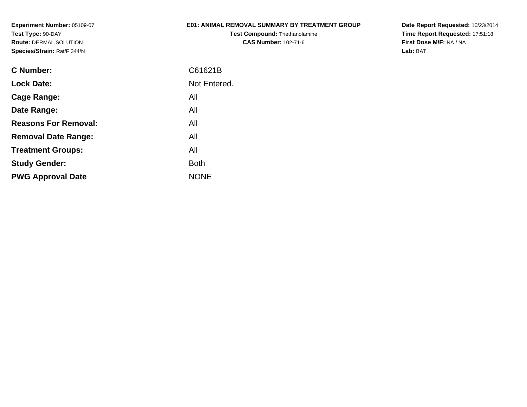### **E01: ANIMAL REMOVAL SUMMARY BY TREATMENT GROUP**

**Test Compound:** Triethanolamine**CAS Number:** 102-71-6

**Date Report Requested:** 10/23/2014 **Time Report Requested:** 17:51:18**First Dose M/F:** NA / NA**Lab:** BAT

| C Number:                   | C61621B      |
|-----------------------------|--------------|
| <b>Lock Date:</b>           | Not Entered. |
| Cage Range:                 | All          |
| Date Range:                 | All          |
| <b>Reasons For Removal:</b> | All          |
| <b>Removal Date Range:</b>  | All          |
| <b>Treatment Groups:</b>    | All          |
| <b>Study Gender:</b>        | <b>Both</b>  |
| <b>PWG Approval Date</b>    | <b>NONE</b>  |
|                             |              |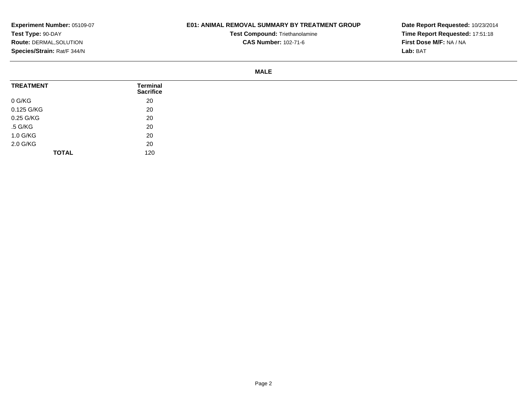## **E01: ANIMAL REMOVAL SUMMARY BY TREATMENT GROUP**

**Test Compound:** Triethanolamine**CAS Number:** 102-71-6

**Date Report Requested:** 10/23/2014**Time Report Requested:** 17:51:18**First Dose M/F:** NA / NA**Lab:** BAT

#### **MALE**

| <b>TREATMENT</b> | <b>Terminal</b><br><b>Sacrifice</b> |
|------------------|-------------------------------------|
| 0 G/KG           | 20                                  |
| 0.125 G/KG       | 20                                  |
| 0.25 G/KG        | 20                                  |
| .5 G/KG          | 20                                  |
| 1.0 G/KG         | 20                                  |
| 2.0 G/KG         | 20                                  |
| <b>TOTAL</b>     | 120                                 |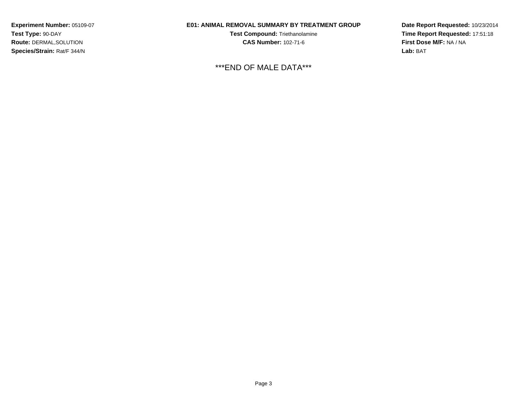### **E01: ANIMAL REMOVAL SUMMARY BY TREATMENT GROUP**

**Test Compound:** Triethanolamine**CAS Number:** 102-71-6

\*\*\*END OF MALE DATA\*\*\*

**Date Report Requested:** 10/23/2014**Time Report Requested:** 17:51:18**First Dose M/F:** NA / NA**Lab:** BAT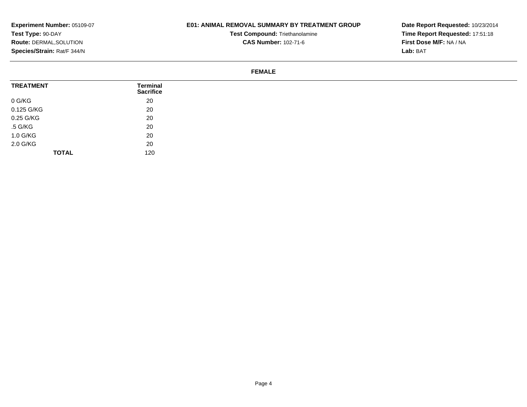## **E01: ANIMAL REMOVAL SUMMARY BY TREATMENT GROUP**

**Test Compound:** Triethanolamine**CAS Number:** 102-71-6

**Date Report Requested:** 10/23/2014**Time Report Requested:** 17:51:18**First Dose M/F:** NA / NA**Lab:** BAT

#### **FEMALE**

| <b>TREATMENT</b> | Terminal<br><b>Sacrifice</b> |
|------------------|------------------------------|
| 0 G/KG           | 20                           |
| 0.125 G/KG       | 20                           |
| 0.25 G/KG        | 20                           |
| .5 G/KG          | 20                           |
| 1.0 G/KG         | 20                           |
| 2.0 G/KG         | 20                           |
| <b>TOTAL</b>     | 120                          |